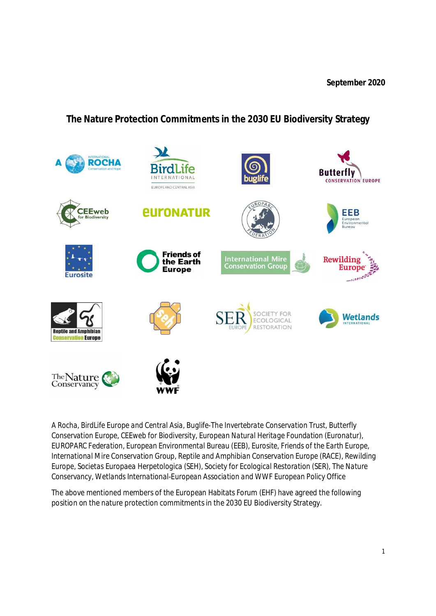**The Nature Protection Commitments in the 2030 EU Biodiversity Strategy**



*A Rocha, BirdLife Europe and Central Asia, Buglife-The Invertebrate Conservation Trust, Butterfly Conservation Europe, CEEweb for Biodiversity, European Natural Heritage Foundation (Euronatur), EUROPARC Federation, European Environmental Bureau (EEB), Eurosite, Friends of the Earth Europe, International Mire Conservation Group, Reptile and Amphibian Conservation Europe (RACE), Rewilding Europe, Societas Europaea Herpetologica (SEH), Society for Ecological Restoration (SER), The Nature Conservancy, Wetlands International-European Association and WWF European Policy Office*

The above mentioned members of the European Habitats Forum (EHF) have agreed the following position on the nature protection commitments in the 2030 EU Biodiversity Strategy.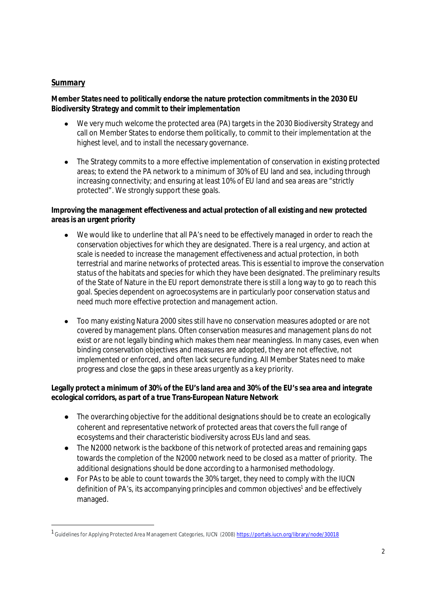## *Summary*

**Member States need to politically endorse the nature protection commitments in the 2030 EU Biodiversity Strategy and commit to their implementation**

- We very much welcome the protected area (PA) targets in the 2030 Biodiversity Strategy and call on Member States to endorse them politically, to commit to their implementation at the highest level, and to install the necessary governance.
- The Strategy commits to a more effective implementation of conservation in existing protected areas; to extend the PA network to a minimum of 30% of EU land and sea, including through increasing connectivity; and ensuring at least 10% of EU land and sea areas are "strictly protected". We strongly support these goals.

**Improving the management effectiveness and actual protection of all existing and new protected areas is an urgent priority**

- We would like to underline that all PA's need to be effectively managed in order to reach the conservation objectives for which they are designated. There is a real urgency, and action at scale is needed to increase the management effectiveness and actual protection, in both terrestrial and marine networks of protected areas. This is essential to improve the conservation status of the habitats and species for which they have been designated. The preliminary results of the State of Nature in the EU report demonstrate there is still a long way to go to reach this goal. Species dependent on agroecosystems are in particularly poor conservation status and need much more effective protection and management action.
- Too many existing Natura 2000 sites still have no conservation measures adopted or are not covered by management plans. Often conservation measures and management plans do not exist or are not legally binding which makes them near meaningless. In many cases, even when binding conservation objectives and measures are adopted, they are not effective, not implemented or enforced, and often lack secure funding. All Member States need to make progress and close the gaps in these areas urgently as a key priority.

**Legally protect a minimum of 30% of the EU's land area and 30% of the EU's sea area and integrate ecological corridors, as part of a true Trans-European Nature Network**

- The overarching objective for the additional designations should be to create an ecologically coherent and representative network of protected areas that covers the full range of ecosystems and their characteristic biodiversity across EUs land and seas.
- The N2000 network is the backbone of this network of protected areas and remaining gaps towards the completion of the N2000 network need to be closed as a matter of priority. The additional designations should be done according to a harmonised methodology.
- For PAs to be able to count towards the 30% target, they need to comply with the IUCN definition of PA's, its accompanying principles and common objectives<sup>1</sup> and be effectively managed.

<sup>1&</sup>lt;br>Guidelines for Applying Protected Area Management Categories, IUCN (2008) https://portals.iucn.org/library/node/30018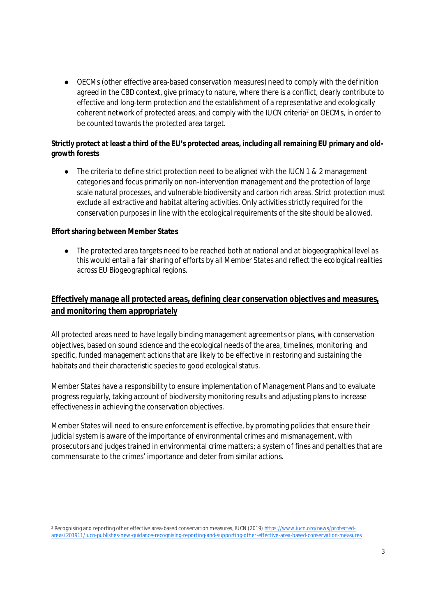● OECMs (other effective area-based conservation measures) need to comply with the definition agreed in the CBD context, give primacy to nature, where there is a conflict, clearly contribute to effective and long-term protection and the establishment of a representative and ecologically coherent network of protected areas, and comply with the IUCN criteria<sup>2</sup> on OECMs, in order to be counted towards the protected area target.

**Strictly protect at least a third of the EU's protected areas, including all remaining EU primary and oldgrowth forests**

● The criteria to define strict protection need to be aligned with the IUCN 1 & 2 management categories and focus primarily on non-intervention management and the protection of large scale natural processes, and vulnerable biodiversity and carbon rich areas. Strict protection must exclude all extractive and habitat altering activities. Only activities strictly required for the conservation purposes in line with the ecological requirements of the site should be allowed.

**Effort sharing between Member States**

● The protected area targets need to be reached both at national and at biogeographical level as this would entail a fair sharing of efforts by all Member States and reflect the ecological realities across EU Biogeographical regions.

# *Effectively manage all protected areas, defining clear conservation objectives and measures, and monitoring them appropriately*

All protected areas need to have legally binding management agreements or plans, with conservation objectives, based on sound science and the ecological needs of the area, timelines, monitoring and specific, funded management actions that are likely to be effective in restoring and sustaining the habitats and their characteristic species to good ecological status.

Member States have a responsibility to ensure implementation of Management Plans and to evaluate progress regularly, taking account of biodiversity monitoring results and adjusting plans to increase effectiveness in achieving the conservation objectives.

Member States will need to ensure enforcement is effective, by promoting policies that ensure their judicial system is aware of the importance of environmental crimes and mismanagement, with prosecutors and judges trained in environmental crime matters; a system of fines and penalties that are commensurate to the crimes' importance and deter from similar actions.

<sup>2</sup> Recognising and reporting other effective area-based conservation measures, IUCN (2019) https://www.iucn.org/news/protectedareas/201911/iucn-publishes-new-guidance-recognising-reporting-and-supporting-other-effective-area-based-conservation-measures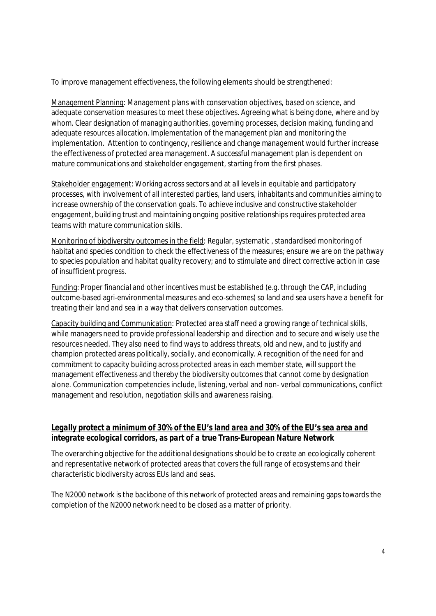To improve management effectiveness, the following elements should be strengthened:

Management Planning: Management plans with conservation objectives, based on science, and adequate conservation measures to meet these objectives. Agreeing what is being done, where and by whom. Clear designation of managing authorities, governing processes, decision making, funding and adequate resources allocation. Implementation of the management plan and monitoring the implementation. Attention to contingency, resilience and change management would further increase the effectiveness of protected area management. A successful management plan is dependent on mature communications and stakeholder engagement, starting from the first phases.

Stakeholder engagement: Working across sectors and at all levels in equitable and participatory processes, with involvement of all interested parties, land users, inhabitants and communities aiming to increase ownership of the conservation goals. To achieve inclusive and constructive stakeholder engagement, building trust and maintaining ongoing positive relationships requires protected area teams with mature communication skills.

Monitoring of biodiversity outcomes in the field: Regular, systematic , standardised monitoring of habitat and species condition to check the effectiveness of the measures; ensure we are on the pathway to species population and habitat quality recovery; and to stimulate and direct corrective action in case of insufficient progress.

Funding: Proper financial and other incentives must be established (e.g. through the CAP, including outcome-based agri-environmental measures and eco-schemes) so land and sea users have a benefit for treating their land and sea in a way that delivers conservation outcomes.

Capacity building and Communication: Protected area staff need a growing range of technical skills, while managers need to provide professional leadership and direction and to secure and wisely use the resources needed. They also need to find ways to address threats, old and new, and to justify and champion protected areas politically, socially, and economically. A recognition of the need for and commitment to capacity building across protected areas in each member state, will support the management effectiveness and thereby the biodiversity outcomes that cannot come by designation alone. Communication competencies include, listening, verbal and non- verbal communications, conflict management and resolution, negotiation skills and awareness raising.

#### *Legally protect a minimum of 30% of the EU's land area and 30% of the EU's sea area and integrate ecological corridors, as part of a true Trans-European Nature Network*

The overarching objective for the additional designations should be to create an ecologically coherent and representative network of protected areas that covers the full range of ecosystems and their characteristic biodiversity across EUs land and seas.

The N2000 network is the backbone of this network of protected areas and remaining gaps towards the completion of the N2000 network need to be closed as a matter of priority.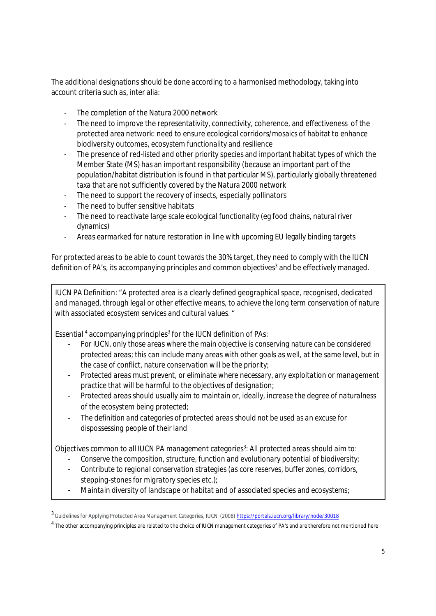The additional designations should be done according to a harmonised methodology, taking into account criteria such as, inter alia:

- The completion of the Natura 2000 network
- The need to improve the representativity, connectivity, coherence, and effectiveness of the protected area network: need to ensure ecological corridors/mosaics of habitat to enhance biodiversity outcomes, ecosystem functionality and resilience
- The presence of red-listed and other priority species and important habitat types of which the Member State (MS) has an important responsibility (because an important part of the population/habitat distribution is found in that particular MS), particularly globally threatened taxa that are not sufficiently covered by the Natura 2000 network
- The need to support the recovery of insects, especially pollinators
- The need to buffer sensitive habitats
- The need to reactivate large scale ecological functionality (eg food chains, natural river dynamics)
- Areas earmarked for nature restoration in line with upcoming EU legally binding targets

For protected areas to be able to count towards the 30% target, they need to comply with the IUCN definition of PA's, its accompanying principles and common objectives<sup>3</sup> and be effectively managed.

IUCN PA Definition: *"A protected area is a clearly defined geographical space, recognised, dedicated and managed, through legal or other effective means, to achieve the long term conservation of nature with associated ecosystem services and cultural values.* "

Essential <sup>4</sup> accompanying principles<sup>3</sup> for the IUCN definition of PAs:

- *For IUCN, only those areas where the main objective is conserving nature can be considered protected areas; this can include many areas with other goals as well, at the same level, but in the case of conflict, nature conservation will be the priority;*
- *Protected areas must prevent, or eliminate where necessary, any exploitation or management practice that will be harmful to the objectives of designation;*
- *Protected areas should usually aim to maintain or, ideally, increase the degree of naturalness of the ecosystem being protected;*
- *The definition and categories of protected areas should not be used as an excuse for dispossessing people of their land*

Objectives common to all IUCN PA management categories<sup>3</sup>: All protected areas should aim to:

- *Conserve the composition, structure, function and evolutionary potential of biodiversity;*
- *Contribute to regional conservation strategies (as core reserves, buffer zones, corridors, stepping-stones for migratory species etc.);*
- *Maintain diversity of landscape or habitat and of associated species and ecosystems;*

<sup>3&</sup>lt;br>Guidelines for Applying Protected Area Management Categories, IUCN (2008) https://portals.iucn.org/library/node/30018

 $^4$  The other accompanying principles are related to the choice of IUCN management categories of PA's and are therefore not mentioned here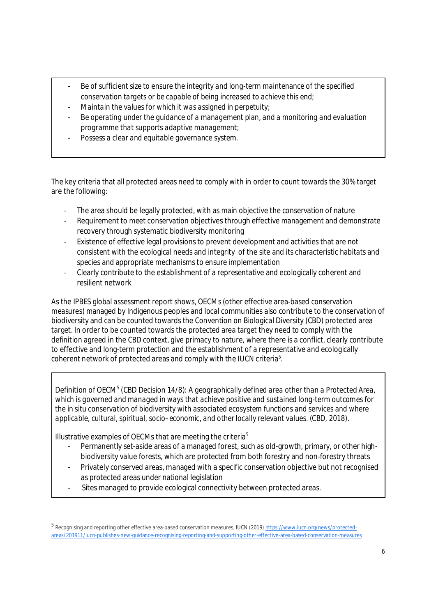- *Be of sufficient size to ensure the integrity and long-term maintenance of the specified conservation targets or be capable of being increased to achieve this end;*
- *Maintain the values for which it was assigned in perpetuity;*
- *Be operating under the guidance of a management plan, and a monitoring and evaluation programme that supports adaptive management;*
- *Possess a clear and equitable governance system.*

The key criteria that all protected areas need to comply with in order to count towards the 30% target are the following:

- The area should be legally protected, with as main objective the conservation of nature
- Requirement to meet conservation objectives through effective management and demonstrate recovery through systematic biodiversity monitoring
- Existence of effective legal provisions to prevent development and activities that are not consistent with the ecological needs and integrity of the site and its characteristic habitats and species and appropriate mechanisms to ensure implementation
- Clearly contribute to the establishment of a representative and ecologically coherent and resilient network

As the IPBES global assessment report shows, OECMs (other effective area-based conservation measures) managed by Indigenous peoples and local communities also contribute to the conservation of biodiversity and can be counted towards the Convention on Biological Diversity (CBD) protected area target. In order to be counted towards the protected area target they need to comply with the definition agreed in the CBD context, give primacy to nature, where there is a conflict, clearly contribute to effective and long-term protection and the establishment of a representative and ecologically coherent network of protected areas and comply with the IUCN criteria $^5$ .

Definition of OECM<sup>5</sup> (CBD Decision 14/8): A geographically defined area other than a Protected Area, *which is governed and managed in ways that achieve positive and sustained long-term outcomes for the in situ conservation of biodiversity with associated ecosystem functions and services and where applicable, cultural, spiritual, socio–economic, and other locally relevant values. (CBD, 2018)*.

Illustrative examples of OECMs that are meeting the criteria<sup>5</sup>

- Permanently set-aside areas of a managed forest, such as old-growth, primary, or other highbiodiversity value forests, which are protected from both forestry and non-forestry threats
- Privately conserved areas, managed with a specific conservation objective but not recognised as protected areas under national legislation
- Sites managed to provide ecological connectivity between protected areas.

<sup>5</sup> Recognising and reporting other effective area-based conservation measures, IUCN (2019) <u>https://www.iucn.org/news/protected</u>areas/201911/iucn-publishes-new-guidance-recognising-reporting-and-supporting-other-effective-area-based-conservation-measures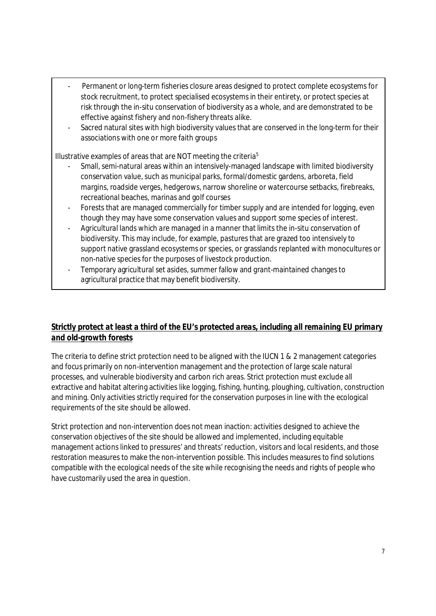- Permanent or long-term fisheries closure areas designed to protect complete ecosystems for stock recruitment, to protect specialised ecosystems in their entirety, or protect species at risk through the in-situ conservation of biodiversity as a whole, and are demonstrated to be effective against fishery and non-fishery threats alike.
- Sacred natural sites with high biodiversity values that are conserved in the long-term for their associations with one or more faith groups

Illustrative examples of areas that are NOT meeting the criteria<sup>5</sup>

- Small, semi-natural areas within an intensively-managed landscape with limited biodiversity conservation value, such as municipal parks, formal/domestic gardens, arboreta, field margins, roadside verges, hedgerows, narrow shoreline or watercourse setbacks, firebreaks, recreational beaches, marinas and golf courses
- Forests that are managed commercially for timber supply and are intended for logging, even though they may have some conservation values and support some species of interest.
- Agricultural lands which are managed in a manner that limits the in-situ conservation of biodiversity. This may include, for example, pastures that are grazed too intensively to support native grassland ecosystems or species, or grasslands replanted with monocultures or non-native species for the purposes of livestock production.
- Temporary agricultural set asides, summer fallow and grant-maintained changes to agricultural practice that may benefit biodiversity.

# *Strictly protect at least a third of the EU's protected areas, including all remaining EU primary and old-growth forests*

The criteria to define strict protection need to be aligned with the IUCN 1 & 2 management categories and focus primarily on non-intervention management and the protection of large scale natural processes, and vulnerable biodiversity and carbon rich areas. Strict protection must exclude all extractive and habitat altering activities like logging, fishing, hunting, ploughing, cultivation, construction and mining. Only activities strictly required for the conservation purposes in line with the ecological requirements of the site should be allowed.

Strict protection and non-intervention does not mean inaction: activities designed to achieve the conservation objectives of the site should be allowed and implemented, including equitable management actions linked to pressures' and threats' reduction, visitors and local residents, and those restoration measures to make the non-intervention possible. This includes measures to find solutions compatible with the ecological needs of the site while recognising the needs and rights of people who have customarily used the area in question.